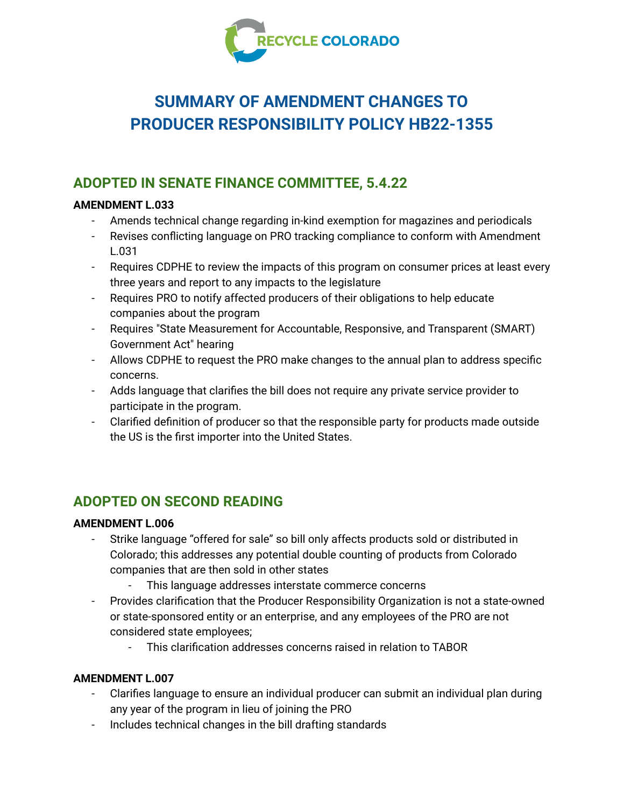

# **SUMMARY OF AMENDMENT CHANGES TO PRODUCER RESPONSIBILITY POLICY HB22-1355**

# **ADOPTED IN SENATE FINANCE COMMITTEE, 5.4.22**

## **AMENDMENT L.033**

- Amends technical change regarding in-kind exemption for magazines and periodicals
- Revises conflicting language on PRO tracking compliance to conform with Amendment L.031
- Requires CDPHE to review the impacts of this program on consumer prices at least every three years and report to any impacts to the legislature
- Requires PRO to notify affected producers of their obligations to help educate companies about the program
- Requires "State Measurement for Accountable, Responsive, and Transparent (SMART) Government Act" hearing
- Allows CDPHE to request the PRO make changes to the annual plan to address specific concerns.
- Adds language that clarifies the bill does not require any private service provider to participate in the program.
- Clarified definition of producer so that the responsible party for products made outside the US is the first importer into the United States.

# **ADOPTED ON SECOND READING**

### **AMENDMENT L.006**

- Strike language "offered for sale" so bill only affects products sold or distributed in Colorado; this addresses any potential double counting of products from Colorado companies that are then sold in other states
	- This language addresses interstate commerce concerns
- Provides clarification that the Producer Responsibility Organization is not a state-owned or state-sponsored entity or an enterprise, and any employees of the PRO are not considered state employees;
	- This clarification addresses concerns raised in relation to TABOR

# **AMENDMENT L.007**

- Clarifies language to ensure an individual producer can submit an individual plan during any year of the program in lieu of joining the PRO
- Includes technical changes in the bill drafting standards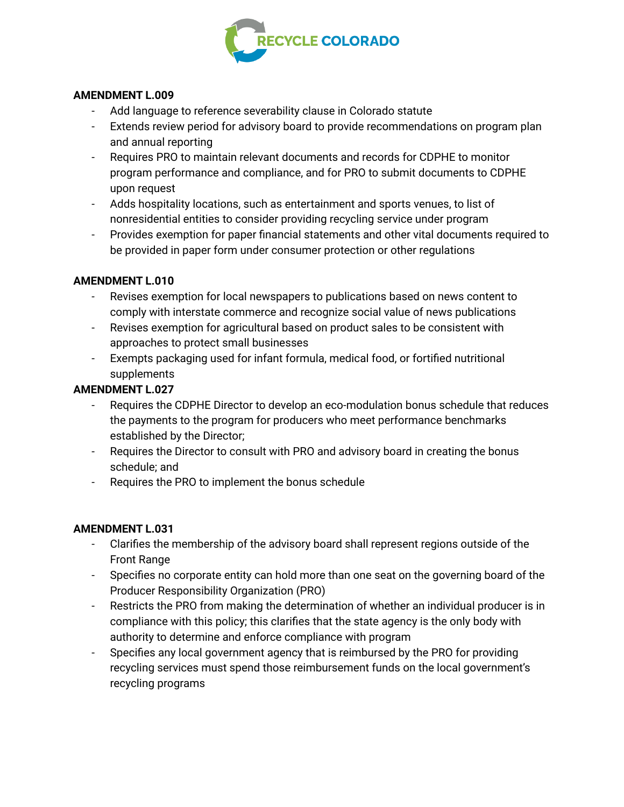

### **AMENDMENT L.009**

- Add language to reference severability clause in Colorado statute
- Extends review period for advisory board to provide recommendations on program plan and annual reporting
- Requires PRO to maintain relevant documents and records for CDPHE to monitor program performance and compliance, and for PRO to submit documents to CDPHE upon request
- Adds hospitality locations, such as entertainment and sports venues, to list of nonresidential entities to consider providing recycling service under program
- Provides exemption for paper financial statements and other vital documents required to be provided in paper form under consumer protection or other regulations

### **AMENDMENT L.010**

- *-* Revises exemption for local newspapers to publications based on news content to comply with interstate commerce and recognize social value of news publications
- Revises exemption for agricultural based on product sales to be consistent with approaches to protect small businesses
- Exempts packaging used for infant formula, medical food, or fortified nutritional supplements

### **AMENDMENT L.027**

- Requires the CDPHE Director to develop an eco-modulation bonus schedule that reduces the payments to the program for producers who meet performance benchmarks established by the Director;
- Requires the Director to consult with PRO and advisory board in creating the bonus schedule; and
- Requires the PRO to implement the bonus schedule

#### **AMENDMENT L.031**

- Clarifies the membership of the advisory board shall represent regions outside of the Front Range
- Specifies no corporate entity can hold more than one seat on the governing board of the Producer Responsibility Organization (PRO)
- Restricts the PRO from making the determination of whether an individual producer is in compliance with this policy; this clarifies that the state agency is the only body with authority to determine and enforce compliance with program
- Specifies any local government agency that is reimbursed by the PRO for providing recycling services must spend those reimbursement funds on the local government's recycling programs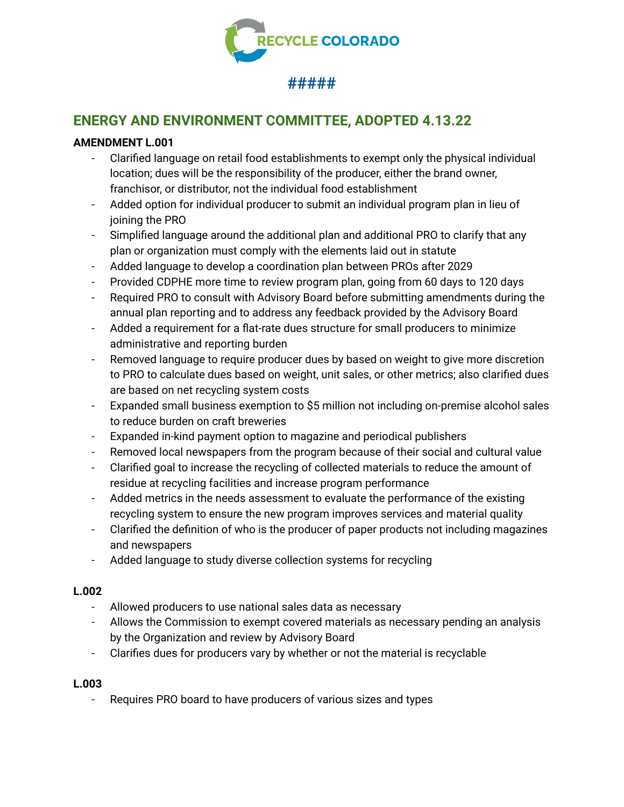

# **ENERGY AND ENVIRONMENT COMMITTEE, ADOPTED 4.13.22**

### **AMENDMENT L.001**

- Clarified language on retail food establishments to exempt only the physical individual location; dues will be the responsibility of the producer, either the brand owner, franchisor, or distributor, not the individual food establishment
- Added option for individual producer to submit an individual program plan in lieu of joining the PRO
- Simplified language around the additional plan and additional PRO to clarify that any plan or organization must comply with the elements laid out in statute
- Added language to develop a coordination plan between PROs after 2029
- Provided CDPHE more time to review program plan, going from 60 days to 120 days
- Required PRO to consult with Advisory Board before submitting amendments during the annual plan reporting and to address any feedback provided by the Advisory Board
- Added a requirement for a flat-rate dues structure for small producers to minimize administrative and reporting burden
- Removed language to require producer dues by based on weight to give more discretion to PRO to calculate dues based on weight, unit sales, or other metrics; also clarified dues are based on net recycling system costs
- Expanded small business exemption to \$5 million not including on-premise alcohol sales to reduce burden on craft breweries
- Expanded in-kind payment option to magazine and periodical publishers
- Removed local newspapers from the program because of their social and cultural value
- Clarified goal to increase the recycling of collected materials to reduce the amount of residue at recycling facilities and increase program performance
- Added metrics in the needs assessment to evaluate the performance of the existing recycling system to ensure the new program improves services and material quality
- Clarified the definition of who is the producer of paper products not including magazines and newspapers
- Added language to study diverse collection systems for recycling

### **L.002**

- Allowed producers to use national sales data as necessary
- Allows the Commission to exempt covered materials as necessary pending an analysis by the Organization and review by Advisory Board
- Clarifies dues for producers vary by whether or not the material is recyclable

#### **L.003**

- Requires PRO board to have producers of various sizes and types